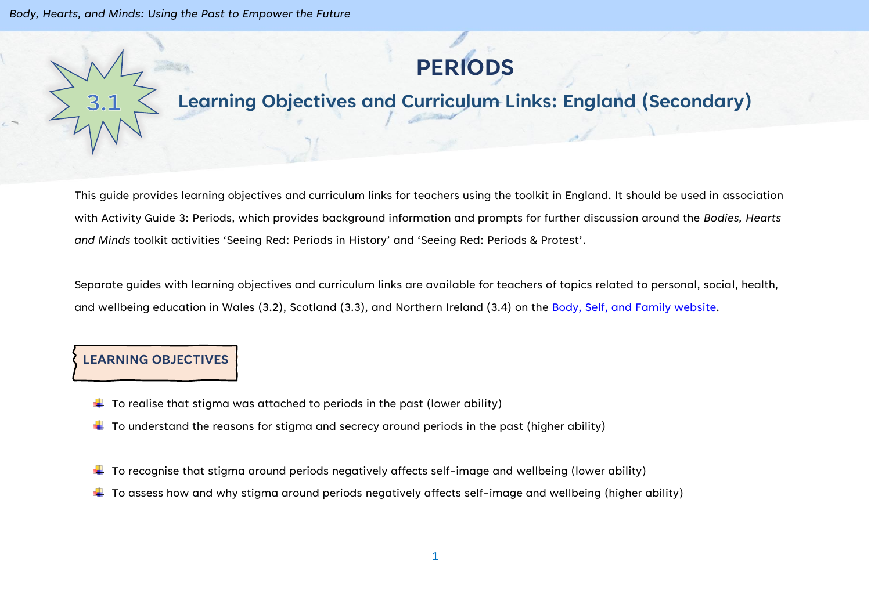

## **Learning Objectives and Curriculum Links: England (Secondary)**

This guide provides learning objectives and curriculum links for teachers using the toolkit in England. It should be used in association with Activity Guide 3: Periods, which provides background information and prompts for further discussion around the *Bodies, Hearts and Minds* toolkit activities 'Seeing Red: Periods in History' and 'Seeing Red: Periods & Protest'.

Separate guides with learning objectives and curriculum links are available for teachers of topics related to personal, social, health, and wellbeing education in Wales (3.2), Scotland (3.3), and Northern Ireland (3.4) on the [Body, Self, and Family website.](https://bodyselffamily.org/)

## **LEARNING OBJECTIVES**

- $\downarrow$  To realise that stigma was attached to periods in the past (lower ability)
- $\downarrow$  To understand the reasons for stigma and secrecy around periods in the past (higher ability)
- $\ddot{\phantom{a}}$  To recognise that stigma around periods negatively affects self-image and wellbeing (lower ability)
- $\ddotplus$  To assess how and why stigma around periods negatively affects self-image and wellbeing (higher ability)